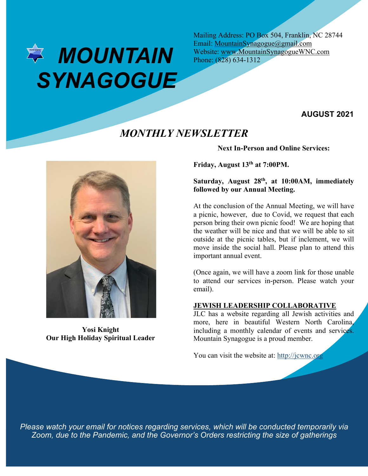# *MOUNTAIN SYNAGOGUE*

Mailing Address: PO Box 504, Franklin, NC 28744 Email: MountainSynagogue@gmail.com Website: www.MountainSynagogueWNC.com Phone: (828) 634-1312

## **AUGUST 2021**

## *MONTHLY NEWSLETTER*



**Yosi Knight Our High Holiday Spiritual Leader**

**Next In-Person and Online Services:**

**Friday, August 13th at 7:00PM.**

## **Saturday, August 28th, at 10:00AM, immediately followed by our Annual Meeting.**

At the conclusion of the Annual Meeting, we will have a picnic, however, due to Covid, we request that each person bring their own picnic food! We are hoping that the weather will be nice and that we will be able to sit outside at the picnic tables, but if inclement, we will move inside the social hall. Please plan to attend this important annual event.

(Once again, we will have a zoom link for those unable to attend our services in-person. Please watch your email).

## **JEWISH LEADERSHIP COLLABORATIVE**

JLC has a website regarding all Jewish activities and more, here in beautiful Western North Carolina, including a monthly calendar of events and services. Mountain Synagogue is a proud member.

You can visit the website at: http://jcwnc.org

*Please watch your email for notices regarding services, which will be conducted temporarily via Zoom, due to the Pandemic, and the Governor's Orders restricting the size of gatherings*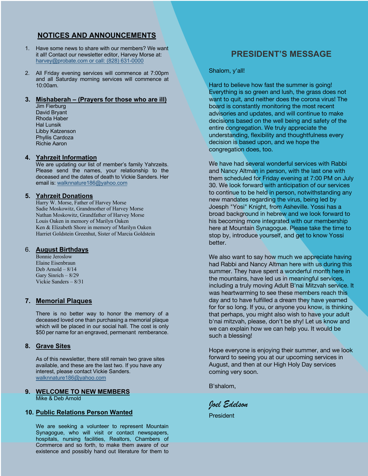## **NOTICES AND ANNOUNCEMENTS**

- 1. Have some news to share with our members? We want it all! Contact our newsletter editor, Harvey Morse at: harvey@probate.com or call: (828) 631-0000
- 2. All Friday evening services will commence at 7:00pm and all Saturday morning services will commence at 10:00am.

#### **3. Mishaberah – (Prayers for those who are ill)**

Jim Fierburg David Bryant Rhoda Haber Hal Lunsik Libby Katzenson Phyllis Cardoza Richie Aaron

#### **4. Yahrzeit Information**

We are updating our list of member's family Yahrzeits. Please send the names, your relationship to the deceased and the dates of death to Vickie Sanders. Her email is: walknnature186@yahoo.com

#### **5. Yahrzeit Donations**

Harry W. Morse, Father of Harvey Morse Sadie Moskowitz, Grandmother of Harvey Morse Nathan Moskowitz, Grandfather of Harvey Morse Louis Oaken in memory of Marilyn Oaken Ken & Elizabeth Shore in memory of Marilyn Oaken Harriet Goldstein Greenhut, Sister of Marcia Goldstein

#### 6. **August Birthdays**

Bonnie Jeroslow Elaine Eisenbraun Deb Arnold – 8/14 Gary Sinrich – 8/29 Vickie Sanders – 8/31

## **7. Memorial Plaques**

There is no better way to honor the memory of a deceased loved one than purchasing a memorial plaque which will be placed in our social hall. The cost is only \$50 per name for an engraved, permenant remberance.

#### **8. Grave Sites**

As of this newsletter, there still remain two grave sites available, and these are the last two. If you have any interest, please contact Vickie Sanders. walknnature186@yahoo.com

#### **9. WELCOME TO NEW MEMBERS** Mike & Deb Arnold

#### **10. Public Relations Person Wanted**

We are seeking a volunteer to represent Mountain Synagogue, who will visit or contact newspapers, hospitals, nursing facilities, Realtors, Chambers of Commerce and so forth, to make them aware of our existence and possibly hand out literature for them to

## **PRESIDENT'S MESSAGE**

Shalom, y'all!

Hard to believe how fast the summer is going! Everything is so green and lush, the grass does not want to quit, and neither does the corona virus! The board is constantly monitoring the most recent advisories and updates, and will continue to make decisions based on the well being and safety of the entire congregation. We truly appreciate the understanding, flexibility and thoughtfulness every decision is based upon, and we hope the congregation does, too.

We have had several wonderful services with Rabbi and Nancy Altman in person, with the last one with them scheduled for Friday evening at 7:00 PM on July 30. We look forward with anticipation of our services to continue to be held in person, notwithstanding any new mandates regarding the virus, being led by Joesph "Yosi" Knight, from Asheville. Yossi has a broad background in hebrew and we look forward to his becoming more integrated with our membership here at Mountain Synagogue. Please take the time to stop by, introduce yourself, and get to know Yossi better.

We also want to say how much we appreciate having had Rabbi and Nancy Altman here with us during this summer. They have spent a wonderful month here in the mountains, have led us in meaningful services, including a truly moving Adult B'nai Mitzvah service. It was heartwarming to see these members reach this day and to have fulfilled a dream they have yearned for for so long. If you, or anyone you know, is thinking that perhaps, you might also wish to have your adult b'nai mitzvah, please, don't be shy! Let us know and we can explain how we can help you. It would be such a blessing!

Hope everyone is enjoying their summer, and we look forward to seeing you at our upcoming services in August, and then at our High Holy Day services coming very soon.

B'shalom,

*Joel Edelson*

President